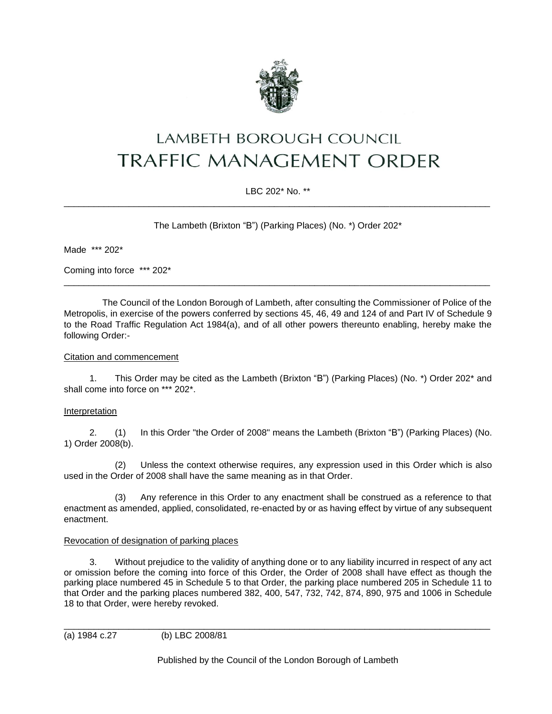

# LAMBETH BOROUGH COUNCIL **TRAFFIC MANAGEMENT ORDER**

# LBC 202\* No. \*\* \_\_\_\_\_\_\_\_\_\_\_\_\_\_\_\_\_\_\_\_\_\_\_\_\_\_\_\_\_\_\_\_\_\_\_\_\_\_\_\_\_\_\_\_\_\_\_\_\_\_\_\_\_\_\_\_\_\_\_\_\_\_\_\_\_\_\_\_\_\_\_\_\_\_\_\_\_\_\_\_\_\_\_\_\_

The Lambeth (Brixton "B") (Parking Places) (No. \*) Order 202\*

Made \*\*\* 202\*

Coming into force \*\*\* 202\*

The Council of the London Borough of Lambeth, after consulting the Commissioner of Police of the Metropolis, in exercise of the powers conferred by sections 45, 46, 49 and 124 of and Part IV of Schedule 9 to the Road Traffic Regulation Act 1984(a), and of all other powers thereunto enabling, hereby make the following Order:-

\_\_\_\_\_\_\_\_\_\_\_\_\_\_\_\_\_\_\_\_\_\_\_\_\_\_\_\_\_\_\_\_\_\_\_\_\_\_\_\_\_\_\_\_\_\_\_\_\_\_\_\_\_\_\_\_\_\_\_\_\_\_\_\_\_\_\_\_\_\_\_\_\_\_\_\_\_\_\_\_\_\_\_\_\_

## Citation and commencement

1. This Order may be cited as the Lambeth (Brixton "B") (Parking Places) (No. \*) Order 202\* and shall come into force on \*\*\* 202\*.

# Interpretation

2. (1) In this Order "the Order of 2008" means the Lambeth (Brixton "B") (Parking Places) (No. 1) Order 2008(b).

(2) Unless the context otherwise requires, any expression used in this Order which is also used in the Order of 2008 shall have the same meaning as in that Order.

(3) Any reference in this Order to any enactment shall be construed as a reference to that enactment as amended, applied, consolidated, re-enacted by or as having effect by virtue of any subsequent enactment.

#### Revocation of designation of parking places

3. Without prejudice to the validity of anything done or to any liability incurred in respect of any act or omission before the coming into force of this Order, the Order of 2008 shall have effect as though the parking place numbered 45 in Schedule 5 to that Order, the parking place numbered 205 in Schedule 11 to that Order and the parking places numbered 382, 400, 547, 732, 742, 874, 890, 975 and 1006 in Schedule 18 to that Order, were hereby revoked.

(a) 1984 c.27 (b) LBC 2008/81

Published by the Council of the London Borough of Lambeth

\_\_\_\_\_\_\_\_\_\_\_\_\_\_\_\_\_\_\_\_\_\_\_\_\_\_\_\_\_\_\_\_\_\_\_\_\_\_\_\_\_\_\_\_\_\_\_\_\_\_\_\_\_\_\_\_\_\_\_\_\_\_\_\_\_\_\_\_\_\_\_\_\_\_\_\_\_\_\_\_\_\_\_\_\_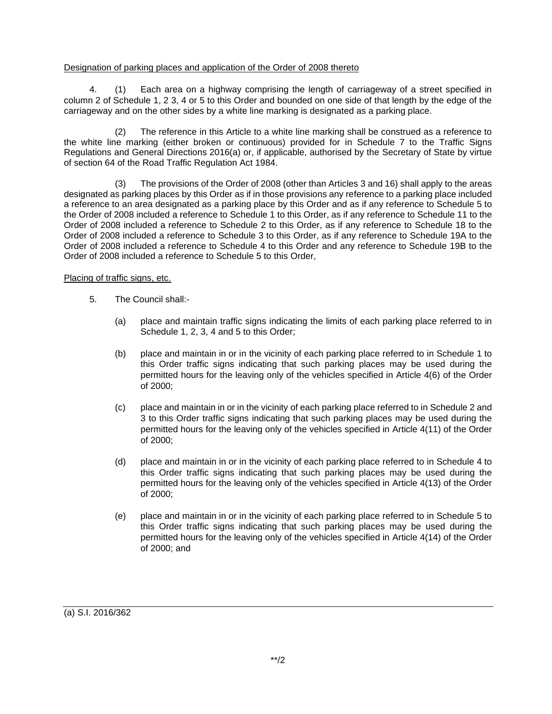## Designation of parking places and application of the Order of 2008 thereto

4. (1) Each area on a highway comprising the length of carriageway of a street specified in column 2 of Schedule 1, 2 3, 4 or 5 to this Order and bounded on one side of that length by the edge of the carriageway and on the other sides by a white line marking is designated as a parking place.

(2) The reference in this Article to a white line marking shall be construed as a reference to the white line marking (either broken or continuous) provided for in Schedule 7 to the Traffic Signs Regulations and General Directions 2016(a) or, if applicable, authorised by the Secretary of State by virtue of section 64 of the Road Traffic Regulation Act 1984.

(3) The provisions of the Order of 2008 (other than Articles 3 and 16) shall apply to the areas designated as parking places by this Order as if in those provisions any reference to a parking place included a reference to an area designated as a parking place by this Order and as if any reference to Schedule 5 to the Order of 2008 included a reference to Schedule 1 to this Order, as if any reference to Schedule 11 to the Order of 2008 included a reference to Schedule 2 to this Order, as if any reference to Schedule 18 to the Order of 2008 included a reference to Schedule 3 to this Order, as if any reference to Schedule 19A to the Order of 2008 included a reference to Schedule 4 to this Order and any reference to Schedule 19B to the Order of 2008 included a reference to Schedule 5 to this Order,

## Placing of traffic signs, etc.

- 5. The Council shall:-
	- (a) place and maintain traffic signs indicating the limits of each parking place referred to in Schedule 1, 2, 3, 4 and 5 to this Order:
	- (b) place and maintain in or in the vicinity of each parking place referred to in Schedule 1 to this Order traffic signs indicating that such parking places may be used during the permitted hours for the leaving only of the vehicles specified in Article 4(6) of the Order of 2000;
	- (c) place and maintain in or in the vicinity of each parking place referred to in Schedule 2 and 3 to this Order traffic signs indicating that such parking places may be used during the permitted hours for the leaving only of the vehicles specified in Article 4(11) of the Order of 2000;
	- (d) place and maintain in or in the vicinity of each parking place referred to in Schedule 4 to this Order traffic signs indicating that such parking places may be used during the permitted hours for the leaving only of the vehicles specified in Article 4(13) of the Order of 2000;
	- (e) place and maintain in or in the vicinity of each parking place referred to in Schedule 5 to this Order traffic signs indicating that such parking places may be used during the permitted hours for the leaving only of the vehicles specified in Article 4(14) of the Order of 2000; and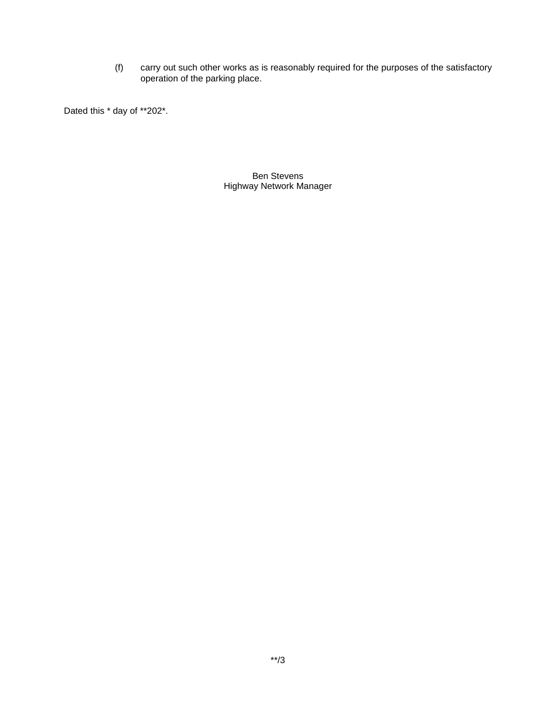(f) carry out such other works as is reasonably required for the purposes of the satisfactory operation of the parking place.

Dated this  $*$  day of \*\*202\*.

Ben Stevens Highway Network Manager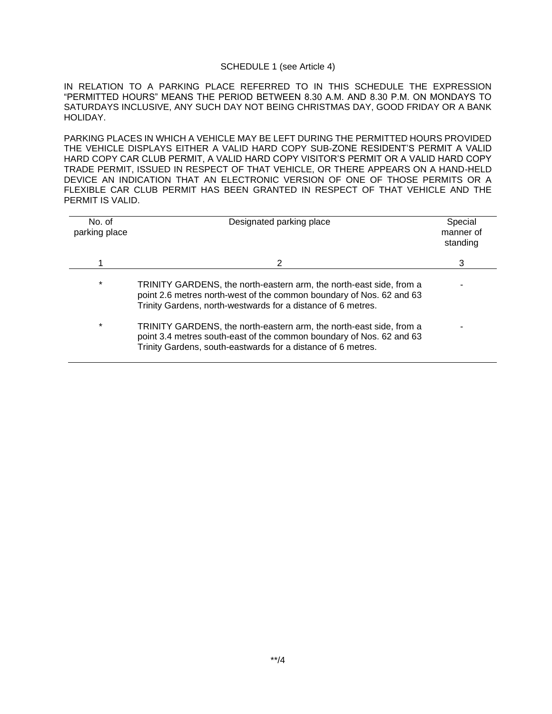#### SCHEDULE 1 (see Article 4)

IN RELATION TO A PARKING PLACE REFERRED TO IN THIS SCHEDULE THE EXPRESSION "PERMITTED HOURS" MEANS THE PERIOD BETWEEN 8.30 A.M. AND 8.30 P.M. ON MONDAYS TO SATURDAYS INCLUSIVE, ANY SUCH DAY NOT BEING CHRISTMAS DAY, GOOD FRIDAY OR A BANK HOLIDAY.

PARKING PLACES IN WHICH A VEHICLE MAY BE LEFT DURING THE PERMITTED HOURS PROVIDED THE VEHICLE DISPLAYS EITHER A VALID HARD COPY SUB-ZONE RESIDENT'S PERMIT A VALID HARD COPY CAR CLUB PERMIT, A VALID HARD COPY VISITOR'S PERMIT OR A VALID HARD COPY TRADE PERMIT, ISSUED IN RESPECT OF THAT VEHICLE, OR THERE APPEARS ON A HAND-HELD DEVICE AN INDICATION THAT AN ELECTRONIC VERSION OF ONE OF THOSE PERMITS OR A FLEXIBLE CAR CLUB PERMIT HAS BEEN GRANTED IN RESPECT OF THAT VEHICLE AND THE PERMIT IS VALID.

| No. of<br>parking place | Designated parking place                                                                                                                                                                                    | Special<br>manner of<br>standing |
|-------------------------|-------------------------------------------------------------------------------------------------------------------------------------------------------------------------------------------------------------|----------------------------------|
|                         | 2                                                                                                                                                                                                           | 3                                |
| $\star$                 | TRINITY GARDENS, the north-eastern arm, the north-east side, from a<br>point 2.6 metres north-west of the common boundary of Nos. 62 and 63<br>Trinity Gardens, north-westwards for a distance of 6 metres. |                                  |
| $\star$                 | TRINITY GARDENS, the north-eastern arm, the north-east side, from a<br>point 3.4 metres south-east of the common boundary of Nos. 62 and 63<br>Trinity Gardens, south-eastwards for a distance of 6 metres. |                                  |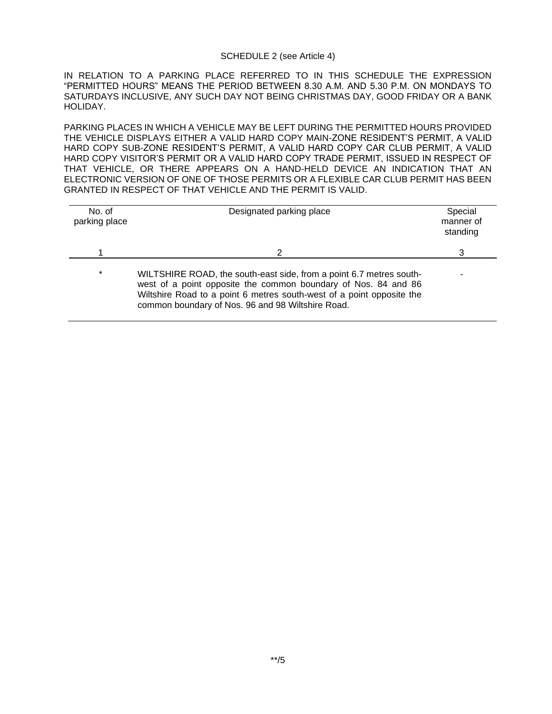#### SCHEDULE 2 (see Article 4)

IN RELATION TO A PARKING PLACE REFERRED TO IN THIS SCHEDULE THE EXPRESSION "PERMITTED HOURS" MEANS THE PERIOD BETWEEN 8.30 A.M. AND 5.30 P.M. ON MONDAYS TO SATURDAYS INCLUSIVE, ANY SUCH DAY NOT BEING CHRISTMAS DAY, GOOD FRIDAY OR A BANK HOLIDAY.

PARKING PLACES IN WHICH A VEHICLE MAY BE LEFT DURING THE PERMITTED HOURS PROVIDED THE VEHICLE DISPLAYS EITHER A VALID HARD COPY MAIN-ZONE RESIDENT'S PERMIT, A VALID HARD COPY SUB-ZONE RESIDENT'S PERMIT, A VALID HARD COPY CAR CLUB PERMIT, A VALID HARD COPY VISITOR'S PERMIT OR A VALID HARD COPY TRADE PERMIT, ISSUED IN RESPECT OF THAT VEHICLE, OR THERE APPEARS ON A HAND-HELD DEVICE AN INDICATION THAT AN ELECTRONIC VERSION OF ONE OF THOSE PERMITS OR A FLEXIBLE CAR CLUB PERMIT HAS BEEN GRANTED IN RESPECT OF THAT VEHICLE AND THE PERMIT IS VALID.

| No. of<br>parking place | Designated parking place                                                                                                                                                                                                                                            | Special<br>manner of<br>standing |
|-------------------------|---------------------------------------------------------------------------------------------------------------------------------------------------------------------------------------------------------------------------------------------------------------------|----------------------------------|
|                         |                                                                                                                                                                                                                                                                     | 3                                |
| $\star$                 | WILTSHIRE ROAD, the south-east side, from a point 6.7 metres south-<br>west of a point opposite the common boundary of Nos. 84 and 86<br>Wiltshire Road to a point 6 metres south-west of a point opposite the<br>common boundary of Nos. 96 and 98 Wiltshire Road. |                                  |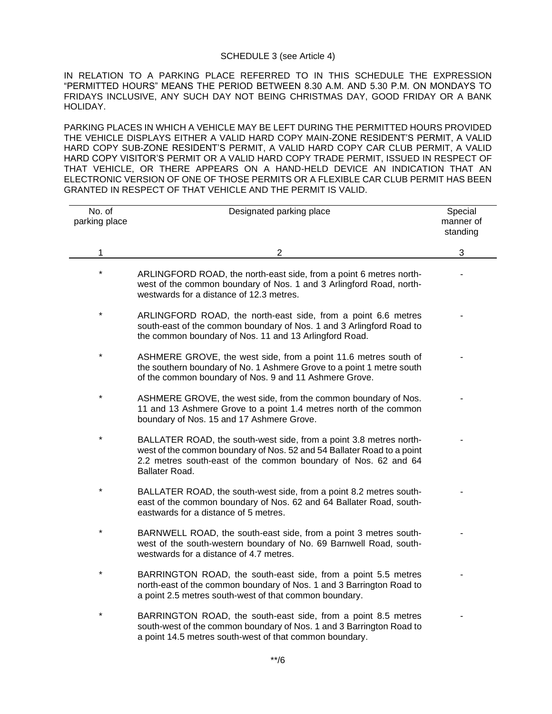#### SCHEDULE 3 (see Article 4)

IN RELATION TO A PARKING PLACE REFERRED TO IN THIS SCHEDULE THE EXPRESSION "PERMITTED HOURS" MEANS THE PERIOD BETWEEN 8.30 A.M. AND 5.30 P.M. ON MONDAYS TO FRIDAYS INCLUSIVE, ANY SUCH DAY NOT BEING CHRISTMAS DAY, GOOD FRIDAY OR A BANK HOLIDAY.

PARKING PLACES IN WHICH A VEHICLE MAY BE LEFT DURING THE PERMITTED HOURS PROVIDED THE VEHICLE DISPLAYS EITHER A VALID HARD COPY MAIN-ZONE RESIDENT'S PERMIT, A VALID HARD COPY SUB-ZONE RESIDENT'S PERMIT, A VALID HARD COPY CAR CLUB PERMIT, A VALID HARD COPY VISITOR'S PERMIT OR A VALID HARD COPY TRADE PERMIT, ISSUED IN RESPECT OF THAT VEHICLE, OR THERE APPEARS ON A HAND-HELD DEVICE AN INDICATION THAT AN ELECTRONIC VERSION OF ONE OF THOSE PERMITS OR A FLEXIBLE CAR CLUB PERMIT HAS BEEN GRANTED IN RESPECT OF THAT VEHICLE AND THE PERMIT IS VALID.

| No. of<br>parking place | Designated parking place                                                                                                                                                                                                         | Special<br>manner of<br>standing |
|-------------------------|----------------------------------------------------------------------------------------------------------------------------------------------------------------------------------------------------------------------------------|----------------------------------|
| 1                       | $\overline{2}$                                                                                                                                                                                                                   | 3                                |
|                         | ARLINGFORD ROAD, the north-east side, from a point 6 metres north-<br>west of the common boundary of Nos. 1 and 3 Arlingford Road, north-<br>westwards for a distance of 12.3 metres.                                            |                                  |
| $\star$                 | ARLINGFORD ROAD, the north-east side, from a point 6.6 metres<br>south-east of the common boundary of Nos. 1 and 3 Arlingford Road to<br>the common boundary of Nos. 11 and 13 Arlingford Road.                                  |                                  |
| $\star$                 | ASHMERE GROVE, the west side, from a point 11.6 metres south of<br>the southern boundary of No. 1 Ashmere Grove to a point 1 metre south<br>of the common boundary of Nos. 9 and 11 Ashmere Grove.                               |                                  |
| $\star$                 | ASHMERE GROVE, the west side, from the common boundary of Nos.<br>11 and 13 Ashmere Grove to a point 1.4 metres north of the common<br>boundary of Nos. 15 and 17 Ashmere Grove.                                                 |                                  |
| $\star$                 | BALLATER ROAD, the south-west side, from a point 3.8 metres north-<br>west of the common boundary of Nos. 52 and 54 Ballater Road to a point<br>2.2 metres south-east of the common boundary of Nos. 62 and 64<br>Ballater Road. |                                  |
|                         | BALLATER ROAD, the south-west side, from a point 8.2 metres south-<br>east of the common boundary of Nos. 62 and 64 Ballater Road, south-<br>eastwards for a distance of 5 metres.                                               |                                  |
|                         | BARNWELL ROAD, the south-east side, from a point 3 metres south-<br>west of the south-western boundary of No. 69 Barnwell Road, south-<br>westwards for a distance of 4.7 metres.                                                |                                  |
| $\star$                 | BARRINGTON ROAD, the south-east side, from a point 5.5 metres<br>north-east of the common boundary of Nos. 1 and 3 Barrington Road to<br>a point 2.5 metres south-west of that common boundary.                                  |                                  |
|                         | BARRINGTON ROAD, the south-east side, from a point 8.5 metres<br>south-west of the common boundary of Nos. 1 and 3 Barrington Road to<br>a point 14.5 metres south-west of that common boundary.                                 |                                  |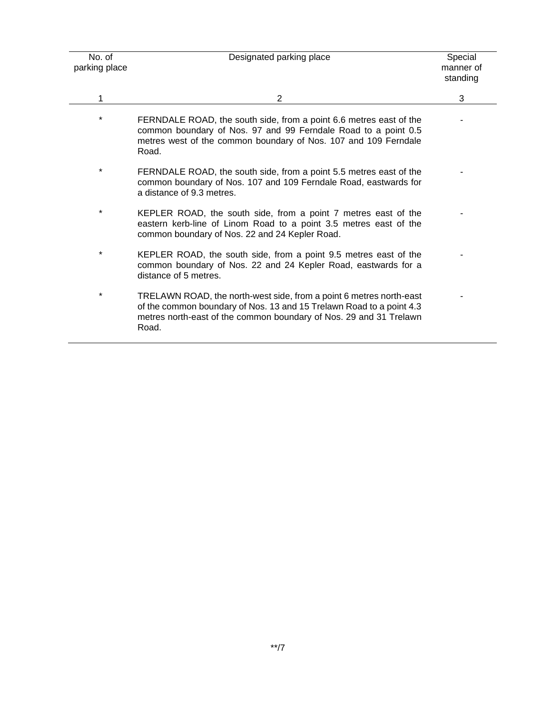| No. of<br>parking place | Designated parking place                                                                                                                                                                                                   | Special<br>manner of<br>standing |
|-------------------------|----------------------------------------------------------------------------------------------------------------------------------------------------------------------------------------------------------------------------|----------------------------------|
| 1                       | 2                                                                                                                                                                                                                          | 3                                |
| *                       | FERNDALE ROAD, the south side, from a point 6.6 metres east of the<br>common boundary of Nos. 97 and 99 Ferndale Road to a point 0.5<br>metres west of the common boundary of Nos. 107 and 109 Ferndale<br>Road.           |                                  |
| $\star$                 | FERNDALE ROAD, the south side, from a point 5.5 metres east of the<br>common boundary of Nos. 107 and 109 Ferndale Road, eastwards for<br>a distance of 9.3 metres.                                                        |                                  |
| *                       | KEPLER ROAD, the south side, from a point 7 metres east of the<br>eastern kerb-line of Linom Road to a point 3.5 metres east of the<br>common boundary of Nos. 22 and 24 Kepler Road.                                      |                                  |
| *                       | KEPLER ROAD, the south side, from a point 9.5 metres east of the<br>common boundary of Nos. 22 and 24 Kepler Road, eastwards for a<br>distance of 5 metres.                                                                |                                  |
| *                       | TRELAWN ROAD, the north-west side, from a point 6 metres north-east<br>of the common boundary of Nos. 13 and 15 Trelawn Road to a point 4.3<br>metres north-east of the common boundary of Nos. 29 and 31 Trelawn<br>Road. |                                  |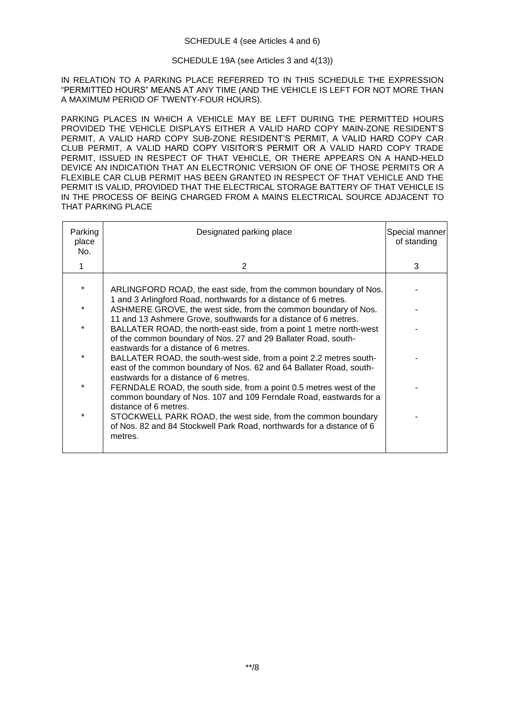## SCHEDULE 19A (see Articles 3 and 4(13))

IN RELATION TO A PARKING PLACE REFERRED TO IN THIS SCHEDULE THE EXPRESSION "PERMITTED HOURS" MEANS AT ANY TIME (AND THE VEHICLE IS LEFT FOR NOT MORE THAN A MAXIMUM PERIOD OF TWENTY-FOUR HOURS).

PARKING PLACES IN WHICH A VEHICLE MAY BE LEFT DURING THE PERMITTED HOURS PROVIDED THE VEHICLE DISPLAYS EITHER A VALID HARD COPY MAIN-ZONE RESIDENT'S PERMIT, A VALID HARD COPY SUB-ZONE RESIDENT'S PERMIT, A VALID HARD COPY CAR CLUB PERMIT, A VALID HARD COPY VISITOR'S PERMIT OR A VALID HARD COPY TRADE PERMIT, ISSUED IN RESPECT OF THAT VEHICLE, OR THERE APPEARS ON A HAND-HELD DEVICE AN INDICATION THAT AN ELECTRONIC VERSION OF ONE OF THOSE PERMITS OR A FLEXIBLE CAR CLUB PERMIT HAS BEEN GRANTED IN RESPECT OF THAT VEHICLE AND THE PERMIT IS VALID, PROVIDED THAT THE ELECTRICAL STORAGE BATTERY OF THAT VEHICLE IS IN THE PROCESS OF BEING CHARGED FROM A MAINS ELECTRICAL SOURCE ADJACENT TO THAT PARKING PLACE

| Parking<br>place<br>No. | Designated parking place                                                                                                                                                                                 | Special manner<br>of standing |
|-------------------------|----------------------------------------------------------------------------------------------------------------------------------------------------------------------------------------------------------|-------------------------------|
|                         | 2                                                                                                                                                                                                        | 3                             |
|                         | ARLINGFORD ROAD, the east side, from the common boundary of Nos.<br>1 and 3 Arlingford Road, northwards for a distance of 6 metres.                                                                      |                               |
|                         | ASHMERE GROVE, the west side, from the common boundary of Nos.                                                                                                                                           |                               |
| $\star$                 | 11 and 13 Ashmere Grove, southwards for a distance of 6 metres.<br>BALLATER ROAD, the north-east side, from a point 1 metre north-west<br>of the common boundary of Nos. 27 and 29 Ballater Road, south- |                               |
|                         | eastwards for a distance of 6 metres.<br>BALLATER ROAD, the south-west side, from a point 2.2 metres south-<br>east of the common boundary of Nos. 62 and 64 Ballater Road, south-                       |                               |
| $\ast$                  | eastwards for a distance of 6 metres.<br>FERNDALE ROAD, the south side, from a point 0.5 metres west of the<br>common boundary of Nos. 107 and 109 Ferndale Road, eastwards for a                        |                               |
| $\star$                 | distance of 6 metres.<br>STOCKWELL PARK ROAD, the west side, from the common boundary<br>of Nos. 82 and 84 Stockwell Park Road, northwards for a distance of 6<br>metres.                                |                               |